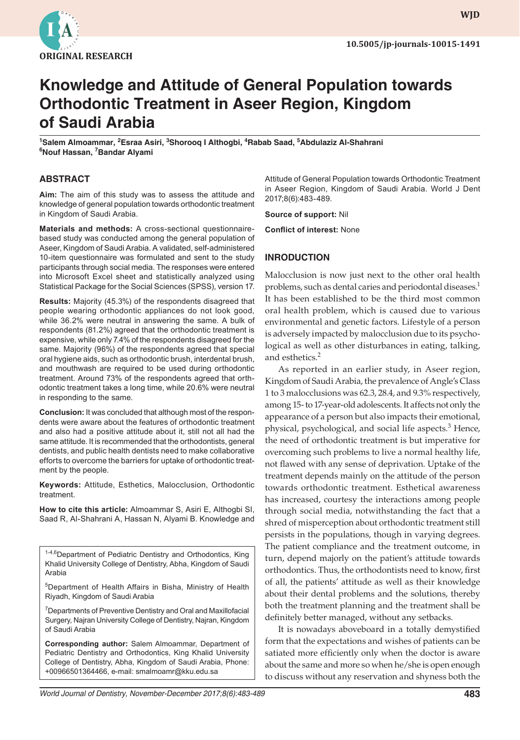

# **Knowledge and Attitude of General Population towards Orthodontic Treatment in Aseer Region, Kingdom of Saudi Arabia**

**1 Salem Almoammar, <sup>2</sup> Esraa Asiri, <sup>3</sup> Shorooq I Althogbi, 4 Rabab Saad, 5 Abdulaziz Al-Shahrani 6 Nouf Hassan, 7 Bandar Alyami**

#### **ABSTRACT**

**Aim:** The aim of this study was to assess the attitude and knowledge of general population towards orthodontic treatment in Kingdom of Saudi Arabia.

**Materials and methods:** A cross-sectional questionnairebased study was conducted among the general population of Aseer, Kingdom of Saudi Arabia. A validated, self-administered 10-item questionnaire was formulated and sent to the study participants through social media. The responses were entered into Microsoft Excel sheet and statistically analyzed using Statistical Package for the Social Sciences (SPSS), version 17.

**Results:** Majority (45.3%) of the respondents disagreed that people wearing orthodontic appliances do not look good, while 36.2% were neutral in answering the same. A bulk of respondents (81.2%) agreed that the orthodontic treatment is expensive, while only 7.4% of the respondents disagreed for the same. Majority (96%) of the respondents agreed that special oral hygiene aids, such as orthodontic brush, interdental brush, and mouthwash are required to be used during orthodontic treatment. Around 73% of the respondents agreed that orthodontic treatment takes a long time, while 20.6% were neutral in responding to the same.

**Conclusion:** It was concluded that although most of the respondents were aware about the features of orthodontic treatment and also had a positive attitude about it, still not all had the same attitude. It is recommended that the orthodontists, general dentists, and public health dentists need to make collaborative efforts to overcome the barriers for uptake of orthodontic treatment by the people.

**Keywords:** Attitude, Esthetics, Malocclusion, Orthodontic treatment.

**How to cite this article:** Almoammar S, Asiri E, Althogbi SI, Saad R, Al-Shahrani A, Hassan N, Alyami B. Knowledge and

1-4,6Department of Pediatric Dentistry and Orthodontics, King Khalid University College of Dentistry, Abha, Kingdom of Saudi Arabia

5Department of Health Affairs in Bisha, Ministry of Health Riyadh, Kingdom of Saudi Arabia

<sup>7</sup> Departments of Preventive Dentistry and Oral and Maxillofacial Surgery, Najran University College of Dentistry, Najran, Kingdom of Saudi Arabia

**Corresponding author:** Salem Almoammar, Department of Pediatric Dentistry and Orthodontics, King Khalid University College of Dentistry, Abha, Kingdom of Saudi Arabia, Phone: +00966501364466, e-mail: smalmoamr@kku.edu.sa

Attitude of General Population towards Orthodontic Treatment in Aseer Region, Kingdom of Saudi Arabia. World J Dent 2017;8(6):483-489.

**Source of support:** Nil

**Conflict of interest:** None

#### **INRODUCTION**

Malocclusion is now just next to the other oral health problems, such as dental caries and periodontal diseases.<sup>1</sup> It has been established to be the third most common oral health problem, which is caused due to various environmental and genetic factors. Lifestyle of a person is adversely impacted by malocclusion due to its psychological as well as other disturbances in eating, talking, and esthetics.<sup>2</sup>

As reported in an earlier study, in Aseer region, Kingdom of Saudi Arabia, the prevalence of Angle's Class 1 to 3 malocclusions was 62.3, 28.4, and 9.3% respectively, among 15- to 17-year-old adolescents. It affects not only the appearance of a person but also impacts their emotional, physical, psychological, and social life aspects.<sup>3</sup> Hence, the need of orthodontic treatment is but imperative for overcoming such problems to live a normal healthy life, not flawed with any sense of deprivation. Uptake of the treatment depends mainly on the attitude of the person towards orthodontic treatment. Esthetical awareness has increased, courtesy the interactions among people through social media, notwithstanding the fact that a shred of misperception about orthodontic treatment still persists in the populations, though in varying degrees. The patient compliance and the treatment outcome, in turn, depend majorly on the patient's attitude towards orthodontics. Thus, the orthodontists need to know, first of all, the patients' attitude as well as their knowledge about their dental problems and the solutions, thereby both the treatment planning and the treatment shall be definitely better managed, without any setbacks.

It is nowadays aboveboard in a totally demystified form that the expectations and wishes of patients can be satiated more efficiently only when the doctor is aware about the same and more so when he/she is open enough to discuss without any reservation and shyness both the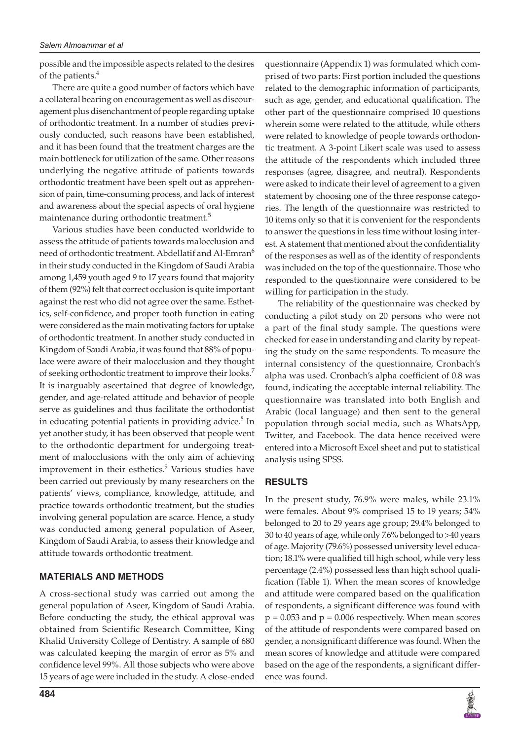possible and the impossible aspects related to the desires of the patients.<sup>4</sup>

There are quite a good number of factors which have a collateral bearing on encouragement as well as discouragement plus disenchantment of people regarding uptake of orthodontic treatment. In a number of studies previously conducted, such reasons have been established, and it has been found that the treatment charges are the main bottleneck for utilization of the same. Other reasons underlying the negative attitude of patients towards orthodontic treatment have been spelt out as apprehension of pain, time-consuming process, and lack of interest and awareness about the special aspects of oral hygiene maintenance during orthodontic treatment.<sup>5</sup>

Various studies have been conducted worldwide to assess the attitude of patients towards malocclusion and need of orthodontic treatment. Abdellatif and Al-Emran<sup>6</sup> in their study conducted in the Kingdom of Saudi Arabia among 1,459 youth aged 9 to 17 years found that majority of them (92%) felt that correct occlusion is quite important against the rest who did not agree over the same. Esthetics, self-confidence, and proper tooth function in eating were considered as the main motivating factors for uptake of orthodontic treatment. In another study conducted in Kingdom of Saudi Arabia, it was found that 88% of populace were aware of their malocclusion and they thought of seeking orthodontic treatment to improve their looks.<sup>7</sup> It is inarguably ascertained that degree of knowledge, gender, and age-related attitude and behavior of people serve as guidelines and thus facilitate the orthodontist in educating potential patients in providing advice.<sup>8</sup> In yet another study, it has been observed that people went to the orthodontic department for undergoing treatment of malocclusions with the only aim of achieving improvement in their esthetics.<sup>9</sup> Various studies have been carried out previously by many researchers on the patients' views, compliance, knowledge, attitude, and practice towards orthodontic treatment, but the studies involving general population are scarce. Hence, a study was conducted among general population of Aseer, Kingdom of Saudi Arabia, to assess their knowledge and attitude towards orthodontic treatment.

### **MATERIALS AND METHODS**

A cross-sectional study was carried out among the general population of Aseer, Kingdom of Saudi Arabia. Before conducting the study, the ethical approval was obtained from Scientific Research Committee, King Khalid University College of Dentistry. A sample of 680 was calculated keeping the margin of error as 5% and confidence level 99%. All those subjects who were above 15 years of age were included in the study. A close-ended

questionnaire (Appendix 1) was formulated which comprised of two parts: First portion included the questions related to the demographic information of participants, such as age, gender, and educational qualification. The other part of the questionnaire comprised 10 questions wherein some were related to the attitude, while others were related to knowledge of people towards orthodontic treatment. A 3-point Likert scale was used to assess the attitude of the respondents which included three responses (agree, disagree, and neutral). Respondents were asked to indicate their level of agreement to a given statement by choosing one of the three response categories. The length of the questionnaire was restricted to 10 items only so that it is convenient for the respondents to answer the questions in less time without losing interest. A statement that mentioned about the confidentiality of the responses as well as of the identity of respondents was included on the top of the questionnaire. Those who responded to the questionnaire were considered to be willing for participation in the study.

The reliability of the questionnaire was checked by conducting a pilot study on 20 persons who were not a part of the final study sample. The questions were checked for ease in understanding and clarity by repeating the study on the same respondents. To measure the internal consistency of the questionnaire, Cronbach's alpha was used. Cronbach's alpha coefficient of 0.8 was found, indicating the acceptable internal reliability. The questionnaire was translated into both English and Arabic (local language) and then sent to the general population through social media, such as WhatsApp, Twitter, and Facebook. The data hence received were entered into a Microsoft Excel sheet and put to statistical analysis using SPSS.

### **RESULTS**

In the present study, 76.9% were males, while 23.1% were females. About 9% comprised 15 to 19 years; 54% belonged to 20 to 29 years age group; 29.4% belonged to 30 to 40 years of age, while only 7.6% belonged to >40 years of age. Majority (79.6%) possessed university level education; 18.1% were qualified till high school, while very less percentage (2.4%) possessed less than high school qualification (Table 1). When the mean scores of knowledge and attitude were compared based on the qualification of respondents, a significant difference was found with  $p = 0.053$  and  $p = 0.006$  respectively. When mean scores of the attitude of respondents were compared based on gender, a nonsignificant difference was found. When the mean scores of knowledge and attitude were compared based on the age of the respondents, a significant difference was found.

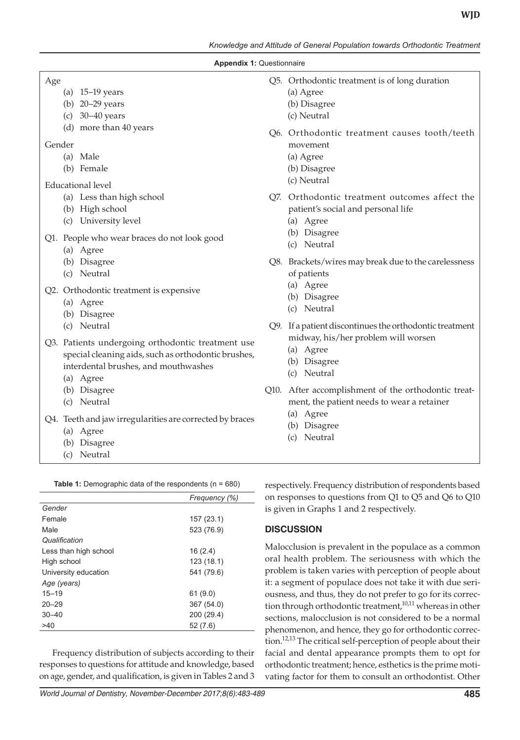*Knowledge and Attitude of General Population towards Orthodontic Treatment*

#### **Appendix 1:** Questionnaire

#### Age

- (a) 15–19 years
- (b) 20–29 years
- (c) 30–40 years
- (d) more than 40 years

#### Gender

- (a) Male
- (b) Female

### Educational level

- (a) Less than high school
- (b) High school
- (c) University level

Q1. People who wear braces do not look good

- (a) Agree
- (b) Disagree
- (c) Neutral

Q2. Orthodontic treatment is expensive

- (a) Agree
- (b) Disagree
- (c) Neutral
- Q3. Patients undergoing orthodontic treatment use special cleaning aids, such as orthodontic brushes, interdental brushes, and mouthwashes
	- (a) Agree
	- (b) Disagree
	- (c) Neutral
- Q4. Teeth and jaw irregularities are corrected by braces
	- (a) Agree
	- (b) Disagree
	- (c) Neutral

| Table 1: Demographic data of the respondents ( $n = 680$ ) |  |  |  |
|------------------------------------------------------------|--|--|--|
|                                                            |  |  |  |

|                       | Frequency (%) |  |  |  |
|-----------------------|---------------|--|--|--|
| Gender                |               |  |  |  |
| Female                | 157 (23.1)    |  |  |  |
| Male                  | 523 (76.9)    |  |  |  |
| Qualification         |               |  |  |  |
| Less than high school | 16(2.4)       |  |  |  |
| High school           | 123 (18.1)    |  |  |  |
| University education  | 541 (79.6)    |  |  |  |
| Age (years)           |               |  |  |  |
| $15 - 19$             | 61(9.0)       |  |  |  |
| $20 - 29$             | 367 (54.0)    |  |  |  |
| $30 - 40$             | 200 (29.4)    |  |  |  |
| >40                   | 52(7.6)       |  |  |  |

Frequency distribution of subjects according to their responses to questions for attitude and knowledge, based on age, gender, and qualification, is given in Tables 2 and 3

- Q5. Orthodontic treatment is of long duration
	- (a) Agree
	- (b) Disagree
	- (c) Neutral
- Q6. Orthodontic treatment causes tooth/teeth movement
	- (a) Agree
	- (b) Disagree
	- (c) Neutral
- Q7. Orthodontic treatment outcomes affect the patient's social and personal life
	- (a) Agree
	- (b) Disagree
	- (c) Neutral
- Q8. Brackets/wires may break due to the carelessness of patients
	- (a) Agree
	- (b) Disagree
	- (c) Neutral
- Q9. If a patient discontinues the orthodontic treatment midway, his/her problem will worsen
	- (a) Agree
	- (b) Disagree
	- (c) Neutral
- Q10. After accomplishment of the orthodontic treatment, the patient needs to wear a retainer
	- (a) Agree
	- (b) Disagree
	- (c) Neutral

respectively. Frequency distribution of respondents based on responses to questions from Q1 to Q5 and Q6 to Q10 is given in Graphs 1 and 2 respectively.

## **DISCUSSION**

Malocclusion is prevalent in the populace as a common oral health problem. The seriousness with which the problem is taken varies with perception of people about it: a segment of populace does not take it with due seriousness, and thus, they do not prefer to go for its correction through orthodontic treatment, $10,11$  whereas in other sections, malocclusion is not considered to be a normal phenomenon, and hence, they go for orthodontic correction.<sup>12,13</sup> The critical self-perception of people about their facial and dental appearance prompts them to opt for orthodontic treatment; hence, esthetics is the prime motivating factor for them to consult an orthodontist. Other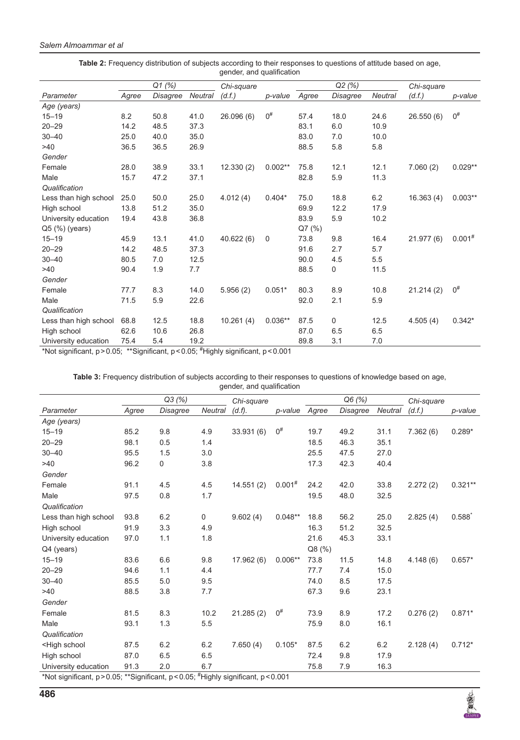|                       | Q1 (%) |          | Chi-square     |           | Q2 (%)      |          |          | Chi-square     |            |             |
|-----------------------|--------|----------|----------------|-----------|-------------|----------|----------|----------------|------------|-------------|
| Parameter             | Agree  | Disagree | <b>Neutral</b> | (d.f.)    | p-value     | Agree    | Disagree | <b>Neutral</b> | (d.f.)     | p-value     |
| Age (years)           |        |          |                |           |             |          |          |                |            |             |
| $15 - 19$             | 8.2    | 50.8     | 41.0           | 26.096(6) | $0^{\#}$    | 57.4     | 18.0     | 24.6           | 26.550(6)  | $0^{\#}$    |
| $20 - 29$             | 14.2   | 48.5     | 37.3           |           |             | 83.1     | 6.0      | 10.9           |            |             |
| $30 - 40$             | 25.0   | 40.0     | 35.0           |           |             | 83.0     | 7.0      | 10.0           |            |             |
| >40                   | 36.5   | 36.5     | 26.9           |           |             | 88.5     | 5.8      | 5.8            |            |             |
| Gender                |        |          |                |           |             |          |          |                |            |             |
| Female                | 28.0   | 38.9     | 33.1           | 12.330(2) | $0.002**$   | 75.8     | 12.1     | 12.1           | 7.060(2)   | $0.029**$   |
| Male                  | 15.7   | 47.2     | 37.1           |           |             | 82.8     | 5.9      | 11.3           |            |             |
| Qualification         |        |          |                |           |             |          |          |                |            |             |
| Less than high school | 25.0   | 50.0     | 25.0           | 4.012(4)  | $0.404*$    | 75.0     | 18.8     | 6.2            | 16.363(4)  | $0.003**$   |
| High school           | 13.8   | 51.2     | 35.0           |           |             | 69.9     | 12.2     | 17.9           |            |             |
| University education  | 19.4   | 43.8     | 36.8           |           |             | 83.9     | 5.9      | 10.2           |            |             |
| $Q5$ (%) (years)      |        |          |                |           |             | $Q7$ (%) |          |                |            |             |
| $15 - 19$             | 45.9   | 13.1     | 41.0           | 40.622(6) | $\mathbf 0$ | 73.8     | 9.8      | 16.4           | 21.977 (6) | $0.001^{#}$ |
| $20 - 29$             | 14.2   | 48.5     | 37.3           |           |             | 91.6     | 2.7      | 5.7            |            |             |
| $30 - 40$             | 80.5   | 7.0      | 12.5           |           |             | 90.0     | 4.5      | 5.5            |            |             |
| >40                   | 90.4   | 1.9      | 7.7            |           |             | 88.5     | 0        | 11.5           |            |             |
| Gender                |        |          |                |           |             |          |          |                |            |             |
| Female                | 77.7   | 8.3      | 14.0           | 5.956(2)  | $0.051*$    | 80.3     | 8.9      | 10.8           | 21.214(2)  | $0^{\#}$    |
| Male                  | 71.5   | 5.9      | 22.6           |           |             | 92.0     | 2.1      | 5.9            |            |             |
| Qualification         |        |          |                |           |             |          |          |                |            |             |
| Less than high school | 68.8   | 12.5     | 18.8           | 10.261(4) | $0.036**$   | 87.5     | 0        | 12.5           | 4.505(4)   | $0.342*$    |
| High school           | 62.6   | 10.6     | 26.8           |           |             | 87.0     | 6.5      | 6.5            |            |             |
| University education  | 75.4   | 5.4      | 19.2           |           |             | 89.8     | 3.1      | 7.0            |            |             |

**Table 2:** Frequency distribution of subjects according to their responses to questions of attitude based on age, gender, and qualification

\*Not significant, p>0.05; \*\*Significant, p<0.05; # Highly significant, p<0.001

**Table 3:** Frequency distribution of subjects according to their responses to questions of knowledge based on age, gender, and qualification

|                                                                                                                                                                                                    | Q3(%) |                 |                | Chi-square |             | Q6 (%) |          |                | Chi-square |           |
|----------------------------------------------------------------------------------------------------------------------------------------------------------------------------------------------------|-------|-----------------|----------------|------------|-------------|--------|----------|----------------|------------|-----------|
| Parameter                                                                                                                                                                                          | Agree | <b>Disagree</b> | <b>Neutral</b> | (d.f).     | p-value     | Agree  | Disagree | <b>Neutral</b> | (d.f.)     | p-value   |
| Age (years)                                                                                                                                                                                        |       |                 |                |            |             |        |          |                |            |           |
| $15 - 19$                                                                                                                                                                                          | 85.2  | 9.8             | 4.9            | 33.931 (6) | $0^{\#}$    | 19.7   | 49.2     | 31.1           | 7.362(6)   | $0.289*$  |
| $20 - 29$                                                                                                                                                                                          | 98.1  | 0.5             | 1.4            |            |             | 18.5   | 46.3     | 35.1           |            |           |
| $30 - 40$                                                                                                                                                                                          | 95.5  | 1.5             | 3.0            |            |             | 25.5   | 47.5     | 27.0           |            |           |
| >40                                                                                                                                                                                                | 96.2  | 0               | 3.8            |            |             | 17.3   | 42.3     | 40.4           |            |           |
| Gender                                                                                                                                                                                             |       |                 |                |            |             |        |          |                |            |           |
| Female                                                                                                                                                                                             | 91.1  | 4.5             | 4.5            | 14.551(2)  | $0.001^{#}$ | 24.2   | 42.0     | 33.8           | 2.272(2)   | $0.321**$ |
| Male                                                                                                                                                                                               | 97.5  | 0.8             | 1.7            |            |             | 19.5   | 48.0     | 32.5           |            |           |
| Qualification                                                                                                                                                                                      |       |                 |                |            |             |        |          |                |            |           |
| Less than high school                                                                                                                                                                              | 93.8  | 6.2             | 0              | 9.602(4)   | $0.048**$   | 18.8   | 56.2     | 25.0           | 2.825(4)   | 0.588     |
| High school                                                                                                                                                                                        | 91.9  | 3.3             | 4.9            |            |             | 16.3   | 51.2     | 32.5           |            |           |
| University education                                                                                                                                                                               | 97.0  | 1.1             | 1.8            |            |             | 21.6   | 45.3     | 33.1           |            |           |
| Q4 (years)                                                                                                                                                                                         |       |                 |                |            |             | Q8 (%) |          |                |            |           |
| $15 - 19$                                                                                                                                                                                          | 83.6  | 6.6             | 9.8            | 17.962 (6) | $0.006**$   | 73.8   | 11.5     | 14.8           | 4.148(6)   | $0.657*$  |
| $20 - 29$                                                                                                                                                                                          | 94.6  | 1.1             | 4.4            |            |             | 77.7   | 7.4      | 15.0           |            |           |
| $30 - 40$                                                                                                                                                                                          | 85.5  | 5.0             | 9.5            |            |             | 74.0   | 8.5      | 17.5           |            |           |
| >40                                                                                                                                                                                                | 88.5  | 3.8             | 7.7            |            |             | 67.3   | 9.6      | 23.1           |            |           |
| Gender                                                                                                                                                                                             |       |                 |                |            |             |        |          |                |            |           |
| Female                                                                                                                                                                                             | 81.5  | 8.3             | 10.2           | 21.285(2)  | $0^{\#}$    | 73.9   | 8.9      | 17.2           | 0.276(2)   | $0.871*$  |
| Male                                                                                                                                                                                               | 93.1  | 1.3             | 5.5            |            |             | 75.9   | 8.0      | 16.1           |            |           |
| Qualification                                                                                                                                                                                      |       |                 |                |            |             |        |          |                |            |           |
| <high school<="" td=""><td>87.5</td><td>6.2</td><td>6.2</td><td>7.650(4)</td><td><math>0.105*</math></td><td>87.5</td><td>6.2</td><td>6.2</td><td>2.128(4)</td><td><math>0.712*</math></td></high> | 87.5  | 6.2             | 6.2            | 7.650(4)   | $0.105*$    | 87.5   | 6.2      | 6.2            | 2.128(4)   | $0.712*$  |
| High school                                                                                                                                                                                        | 87.0  | 6.5             | 6.5            |            |             | 72.4   | 9.8      | 17.9           |            |           |
| University education                                                                                                                                                                               | 91.3  | 2.0             | 6.7            |            |             | 75.8   | 7.9      | 16.3           |            |           |
| *Not significant $n > 0$ 05: **Significant $n < 0$ 05: $\#$ Highly significant $n < 0$ 001                                                                                                         |       |                 |                |            |             |        |          |                |            |           |

\*Not significant, p>0.05; \*\*Significant, p<0.05; # Highly significant, p<0.001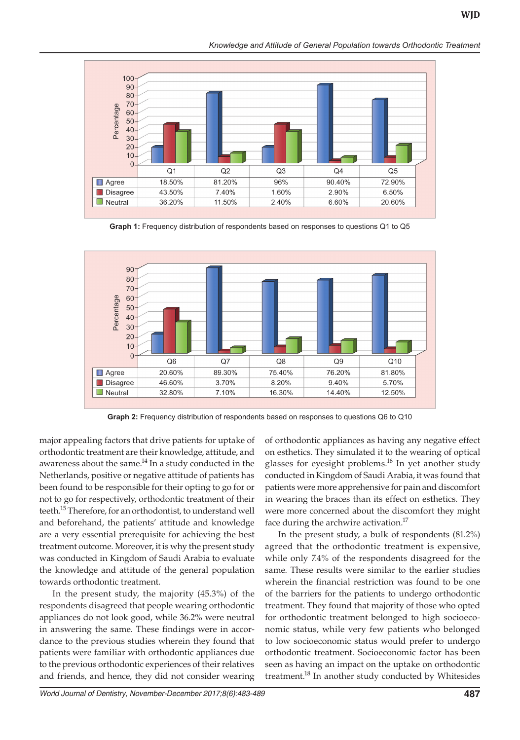*Knowledge and Attitude of General Population towards Orthodontic Treatment*



**Graph 1:** Frequency distribution of respondents based on responses to questions Q1 to Q5



**Graph 2:** Frequency distribution of respondents based on responses to questions Q6 to Q10

major appealing factors that drive patients for uptake of orthodontic treatment are their knowledge, attitude, and awareness about the same. $^{14}$  In a study conducted in the Netherlands, positive or negative attitude of patients has been found to be responsible for their opting to go for or not to go for respectively, orthodontic treatment of their teeth.<sup>15</sup> Therefore, for an orthodontist, to understand well and beforehand, the patients' attitude and knowledge are a very essential prerequisite for achieving the best treatment outcome. Moreover, it is why the present study was conducted in Kingdom of Saudi Arabia to evaluate the knowledge and attitude of the general population towards orthodontic treatment.

In the present study, the majority (45.3%) of the respondents disagreed that people wearing orthodontic appliances do not look good, while 36.2% were neutral in answering the same. These findings were in accordance to the previous studies wherein they found that patients were familiar with orthodontic appliances due to the previous orthodontic experiences of their relatives and friends, and hence, they did not consider wearing

of orthodontic appliances as having any negative effect on esthetics. They simulated it to the wearing of optical glasses for eyesight problems.<sup>16</sup> In yet another study conducted in Kingdom of Saudi Arabia, it was found that patients were more apprehensive for pain and discomfort in wearing the braces than its effect on esthetics. They were more concerned about the discomfort they might face during the archwire activation.<sup>17</sup>

In the present study, a bulk of respondents (81.2%) agreed that the orthodontic treatment is expensive, while only 7.4% of the respondents disagreed for the same. These results were similar to the earlier studies wherein the financial restriction was found to be one of the barriers for the patients to undergo orthodontic treatment. They found that majority of those who opted for orthodontic treatment belonged to high socioeconomic status, while very few patients who belonged to low socioeconomic status would prefer to undergo orthodontic treatment. Socioeconomic factor has been seen as having an impact on the uptake on orthodontic treatment.<sup>18</sup> In another study conducted by Whitesides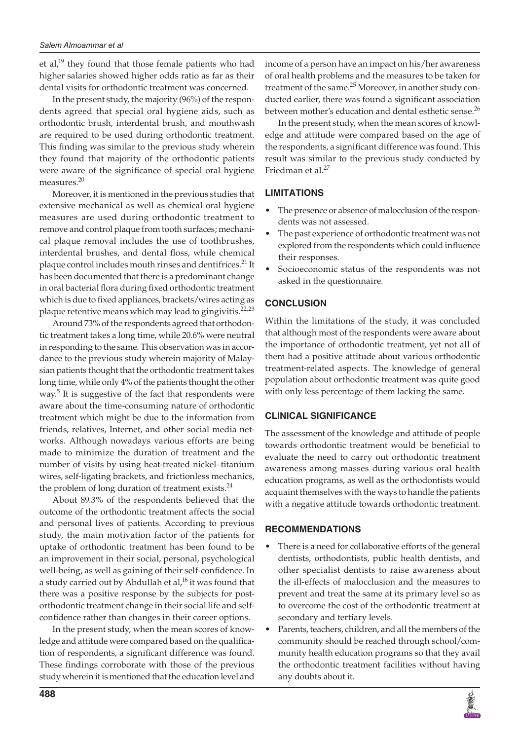et al,<sup>19</sup> they found that those female patients who had higher salaries showed higher odds ratio as far as their dental visits for orthodontic treatment was concerned.

In the present study, the majority (96%) of the respondents agreed that special oral hygiene aids, such as orthodontic brush, interdental brush, and mouthwash are required to be used during orthodontic treatment. This finding was similar to the previous study wherein they found that majority of the orthodontic patients were aware of the significance of special oral hygiene measures.<sup>20</sup>

Moreover, it is mentioned in the previous studies that extensive mechanical as well as chemical oral hygiene measures are used during orthodontic treatment to remove and control plaque from tooth surfaces; mechanical plaque removal includes the use of toothbrushes, interdental brushes, and dental floss, while chemical plaque control includes mouth rinses and dentifrices.<sup>21</sup> It has been documented that there is a predominant change in oral bacterial flora during fixed orthodontic treatment which is due to fixed appliances, brackets/wires acting as plaque retentive means which may lead to gingivitis.<sup>22,23</sup>

Around 73% of the respondents agreed that orthodontic treatment takes a long time, while 20.6% were neutral in responding to the same. This observation was in accordance to the previous study wherein majority of Malaysian patients thought that the orthodontic treatment takes long time, while only 4% of the patients thought the other way.<sup>5</sup> It is suggestive of the fact that respondents were aware about the time-consuming nature of orthodontic treatment which might be due to the information from friends, relatives, Internet, and other social media networks. Although nowadays various efforts are being made to minimize the duration of treatment and the number of visits by using heat-treated nickel–titanium wires, self-ligating brackets, and frictionless mechanics, the problem of long duration of treatment exists. $^{24}$ 

About 89.3% of the respondents believed that the outcome of the orthodontic treatment affects the social and personal lives of patients. According to previous study, the main motivation factor of the patients for uptake of orthodontic treatment has been found to be an improvement in their social, personal, psychological well-being, as well as gaining of their self-confidence. In a study carried out by Abdullah et al,<sup>16</sup> it was found that there was a positive response by the subjects for postorthodontic treatment change in their social life and selfconfidence rather than changes in their career options.

In the present study, when the mean scores of knowledge and attitude were compared based on the qualification of respondents, a significant difference was found. These findings corroborate with those of the previous study wherein it is mentioned that the education level and

income of a person have an impact on his/her awareness of oral health problems and the measures to be taken for treatment of the same.<sup>25</sup> Moreover, in another study conducted earlier, there was found a significant association between mother's education and dental esthetic sense.<sup>26</sup>

In the present study, when the mean scores of knowledge and attitude were compared based on the age of the respondents, a significant difference was found. This result was similar to the previous study conducted by Friedman et al.<sup>27</sup>

## **LIMITATIONS**

- The presence or absence of malocclusion of the respondents was not assessed.
- The past experience of orthodontic treatment was not explored from the respondents which could influence their responses.
- Socioeconomic status of the respondents was not asked in the questionnaire.

## **CONCLUSION**

Within the limitations of the study, it was concluded that although most of the respondents were aware about the importance of orthodontic treatment, yet not all of them had a positive attitude about various orthodontic treatment-related aspects. The knowledge of general population about orthodontic treatment was quite good with only less percentage of them lacking the same.

## **Clinical Significance**

The assessment of the knowledge and attitude of people towards orthodontic treatment would be beneficial to evaluate the need to carry out orthodontic treatment awareness among masses during various oral health education programs, as well as the orthodontists would acquaint themselves with the ways to handle the patients with a negative attitude towards orthodontic treatment.

### **Recommendations**

- There is a need for collaborative efforts of the general dentists, orthodontists, public health dentists, and other specialist dentists to raise awareness about the ill-effects of malocclusion and the measures to prevent and treat the same at its primary level so as to overcome the cost of the orthodontic treatment at secondary and tertiary levels.
- Parents, teachers, children, and all the members of the community should be reached through school/community health education programs so that they avail the orthodontic treatment facilities without having any doubts about it.